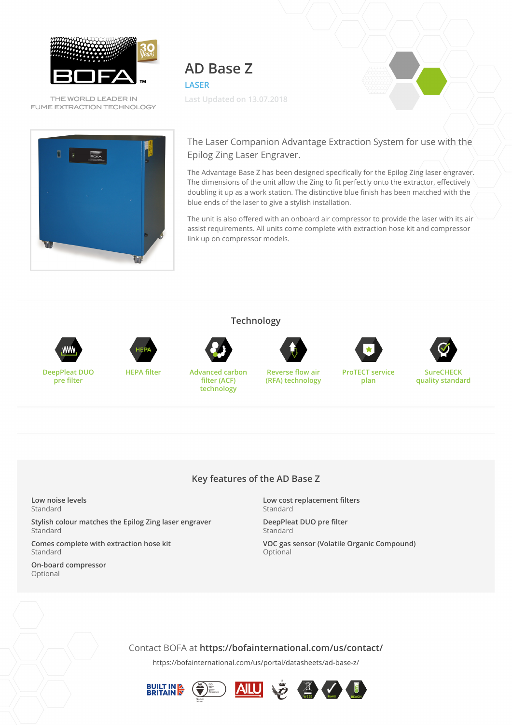

THE WORLD LEADER IN FUME EXTRACTION TECHNOLOGY



**AD Base Z LASER Last Updated on 13.07.2018**

The Laser Companion Advantage Extraction System for use with the Epilog Zing Laser Engraver.

The Advantage Base Z has been designed specifically for the Epilog Zing laser engraver. The dimensions of the unit allow the Zing to fit perfectly onto the extractor, effectively doubling it up as a work station. The distinctive blue finish has been matched with the blue ends of the laser to give a stylish installation.

The unit is also offered with an onboard air compressor to provide the laser with its air assist requirements. All units come complete with extraction hose kit and compressor link up on compressor models.

**DeepPleat DUO pre filter**





**HEPA filter Advanced carbon filter (ACF) technology**



**Reverse flow air (RFA) technology**



**ProTECT service plan**



**SureCHECK quality standard**

**Key features of the AD Base Z**

**Technology**

**Low noise levels** Standard

**Stylish colour matches the Epilog Zing laser engraver** Standard

**Comes complete with extraction hose kit** Standard

**On-board compressor** Optional

**Low cost replacement filters** Standard

**DeepPleat DUO pre filter Standard** 

**VOC gas sensor (Volatile Organic Compound)** Optional

Contact BOFA at **<https://bofainternational.com/us/contact/>**

<https://bofainternational.com/us/portal/datasheets/ad-base-z/>







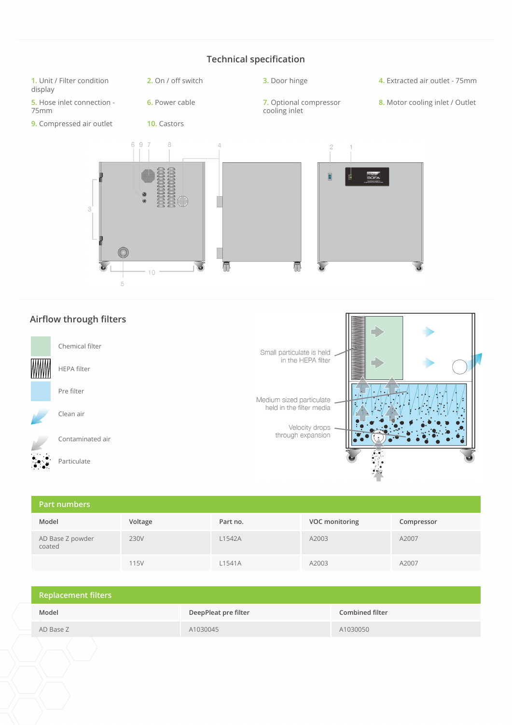## **Technical specification**





| Part numbers               |         |          |                |            |
|----------------------------|---------|----------|----------------|------------|
| Model                      | Voltage | Part no. | VOC monitoring | Compressor |
| AD Base Z powder<br>coated | 230V    | L1542A   | A2003          | A2007      |
|                            | 115V    | L1541A   | A2003          | A2007      |

| <b>Replacement filters</b> |                      |                        |
|----------------------------|----------------------|------------------------|
| Model                      | DeepPleat pre filter | <b>Combined filter</b> |
| AD Base Z                  | A1030045             | A1030050               |